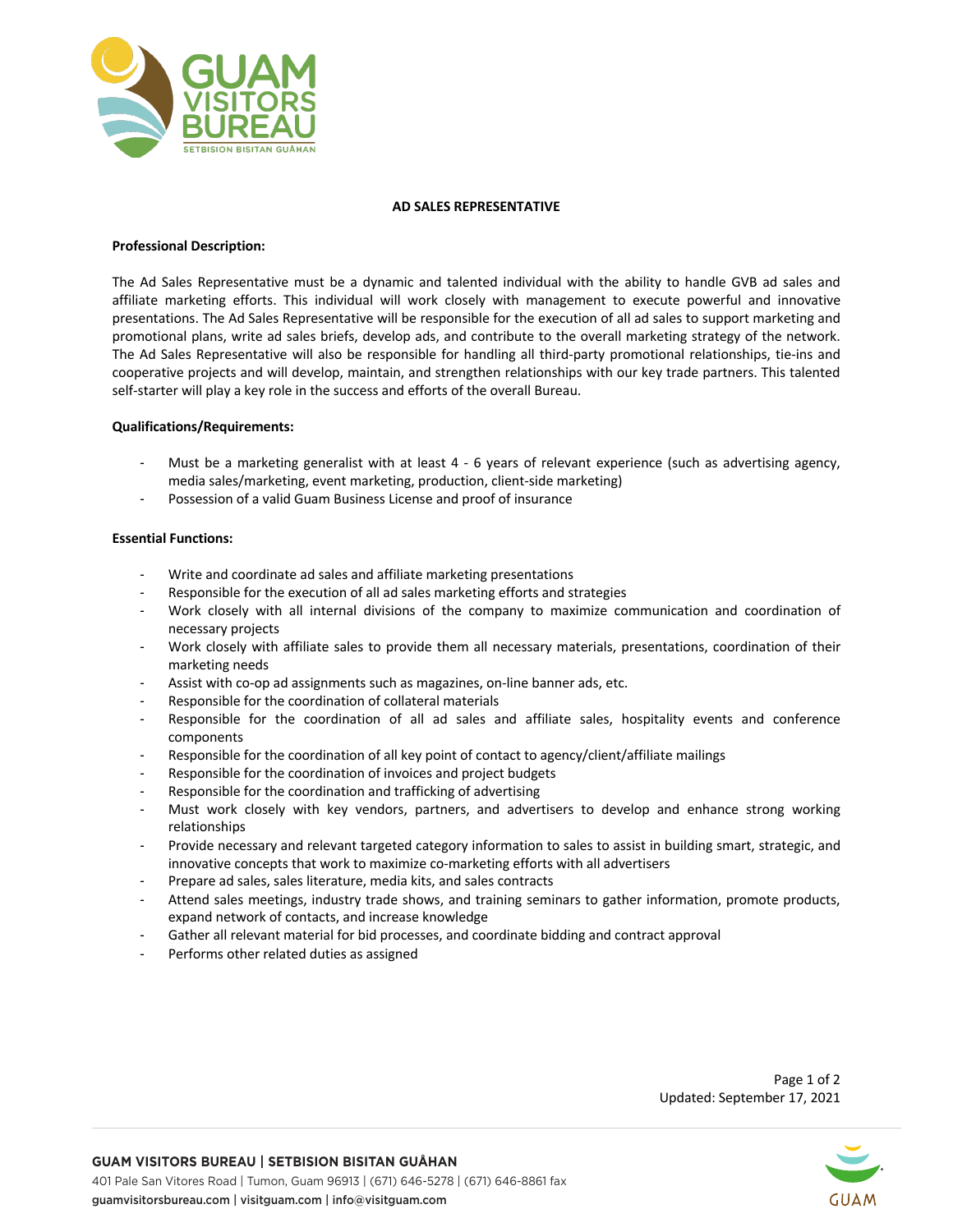

# **AD SALES REPRESENTATIVE**

# **Professional Description:**

The Ad Sales Representative must be a dynamic and talented individual with the ability to handle GVB ad sales and affiliate marketing efforts. This individual will work closely with management to execute powerful and innovative presentations. The Ad Sales Representative will be responsible for the execution of all ad sales to support marketing and promotional plans, write ad sales briefs, develop ads, and contribute to the overall marketing strategy of the network. The Ad Sales Representative will also be responsible for handling all third-party promotional relationships, tie-ins and cooperative projects and will develop, maintain, and strengthen relationships with our key trade partners. This talented self-starter will play a key role in the success and efforts of the overall Bureau.

# **Qualifications/Requirements:**

- Must be a marketing generalist with at least 4 6 years of relevant experience (such as advertising agency, media sales/marketing, event marketing, production, client-side marketing)
- Possession of a valid Guam Business License and proof of insurance

# **Essential Functions:**

- Write and coordinate ad sales and affiliate marketing presentations
- Responsible for the execution of all ad sales marketing efforts and strategies
- Work closely with all internal divisions of the company to maximize communication and coordination of necessary projects
- Work closely with affiliate sales to provide them all necessary materials, presentations, coordination of their marketing needs
- Assist with co-op ad assignments such as magazines, on-line banner ads, etc.
- Responsible for the coordination of collateral materials
- Responsible for the coordination of all ad sales and affiliate sales, hospitality events and conference components
- Responsible for the coordination of all key point of contact to agency/client/affiliate mailings
- Responsible for the coordination of invoices and project budgets
- Responsible for the coordination and trafficking of advertising
- Must work closely with key vendors, partners, and advertisers to develop and enhance strong working relationships
- Provide necessary and relevant targeted category information to sales to assist in building smart, strategic, and innovative concepts that work to maximize co-marketing efforts with all advertisers
- Prepare ad sales, sales literature, media kits, and sales contracts
- Attend sales meetings, industry trade shows, and training seminars to gather information, promote products, expand network of contacts, and increase knowledge
- Gather all relevant material for bid processes, and coordinate bidding and contract approval
- Performs other related duties as assigned